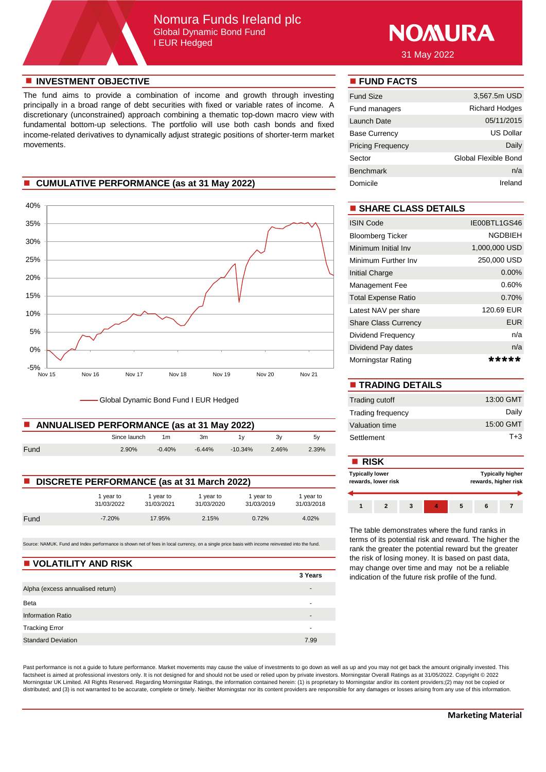# Nomura Funds Ireland plc Global Dynamic Bond Fund I EUR Hedged



31 May 2022

### **n** INVESTMENT OBJECTIVE **n FUND FACTS**

The fund aims to provide a combination of income and growth through investing principally in a broad range of debt securities with fixed or variable rates of income. A discretionary (unconstrained) approach combining a thematic top-down macro view with fundamental bottom-up selections. The portfolio will use both cash bonds and fixed income-related derivatives to dynamically adjust strategic positions of shorter-term market movements.

## **n** CUMULATIVE PERFORMANCE (as at 31 May 2022)



Global Dynamic Bond Fund I EUR Hedged

| ANNUALISED PERFORMANCE (as at 31 May 2022) |              |          |          |            |       |       | Valuation time |
|--------------------------------------------|--------------|----------|----------|------------|-------|-------|----------------|
|                                            | Since launch | 1m       | 3m       |            |       | 5V    | Settlement     |
| Fund                                       | 2.90%        | $-0.40%$ | $-6.44%$ | $-10.34\%$ | 2.46% | 2.39% |                |

| <b>DISCRETE PERFORMANCE (as at 31 March 2022)</b> |                         |                         |                         |                         |                         |  |  |
|---------------------------------------------------|-------------------------|-------------------------|-------------------------|-------------------------|-------------------------|--|--|
|                                                   | 1 vear to<br>31/03/2022 | 1 vear to<br>31/03/2021 | 1 year to<br>31/03/2020 | 1 year to<br>31/03/2019 | 1 year to<br>31/03/2018 |  |  |
| Fund                                              | $-7.20%$                | 17.95%                  | 2.15%                   | 0.72%                   | 4.02%                   |  |  |

Source: NAMUK. Fund and Index performance is shown net of fees in local currency, on a single price basis with income reinvested into the fund.

#### **N** VOLATILITY AND RISK

|                                  | 3 Years |
|----------------------------------|---------|
| Alpha (excess annualised return) | -       |
| Beta                             |         |
| <b>Information Ratio</b>         | -       |
| <b>Tracking Error</b>            | -       |
| <b>Standard Deviation</b>        | 7.99    |

| <b>Fund Size</b>         | 3,567.5m USD          |
|--------------------------|-----------------------|
| Fund managers            | <b>Richard Hodges</b> |
| Launch Date              | 05/11/2015            |
| <b>Base Currency</b>     | US Dollar             |
| <b>Pricing Frequency</b> | Daily                 |
| Sector                   | Global Flexible Bond  |
| <b>Benchmark</b>         | n/a                   |
| Domicile                 | Ireland               |

# $\blacksquare$  **SHARE CLASS DETAILS**

| <b>ISIN Code</b>            | IE00BTL1GS46   |
|-----------------------------|----------------|
| <b>Bloomberg Ticker</b>     | <b>NGDBIEH</b> |
| Minimum Initial Inv         | 1,000,000 USD  |
| Minimum Further Inv         | 250,000 USD    |
| Initial Charge              | $0.00\%$       |
| Management Fee              | 0.60%          |
| <b>Total Expense Ratio</b>  | 0.70%          |
| Latest NAV per share        | 120.69 EUR     |
| <b>Share Class Currency</b> | <b>EUR</b>     |
| Dividend Frequency          | n/a            |
| Dividend Pay dates          | n/a            |
| Morningstar Rating          | *****          |

| <b>TRADING DETAILS</b>   |           |
|--------------------------|-----------|
| Trading cutoff           | 13:00 GMT |
| <b>Trading frequency</b> | Daily     |
| Valuation time           | 15:00 GMT |
| Settlement               | $T + 3$   |

|                                                   |                       |                       |                       |                       |                         | <b>RISK</b>         |              |  |   |                                                 |  |  |  |
|---------------------------------------------------|-----------------------|-----------------------|-----------------------|-----------------------|-------------------------|---------------------|--------------|--|---|-------------------------------------------------|--|--|--|
| <b>DISCRETE PERFORMANCE (as at 31 March 2022)</b> |                       |                       |                       |                       | <b>Typically lower</b>  | rewards, lower risk |              |  |   | <b>Typically higher</b><br>rewards, higher risk |  |  |  |
|                                                   | vear to<br>31/03/2022 | vear to<br>31/03/2021 | vear to<br>31/03/2020 | vear to<br>31/03/2019 | I vear to<br>31/03/2018 |                     | $\mathbf{2}$ |  | л |                                                 |  |  |  |
| - -                                               | 7001                  | 1700                  | 0.401                 | $\sim$ 700/           | 1.0001                  |                     |              |  |   |                                                 |  |  |  |

The table demonstrates where the fund ranks in terms of its potential risk and reward. The higher the rank the greater the potential reward but the greater the risk of losing money. It is based on past data, may change over time and may not be a reliable indication of the future risk profile of the fund.

Past performance is not a guide to future performance. Market movements may cause the value of investments to go down as well as up and you may not get back the amount originally invested. This factsheet is aimed at professional investors only. It is not designed for and should not be used or relied upon by private investors. Morningstar Overall Ratings as at 31/05/2022. Copyright © 2022 Morningstar UK Limited. All Rights Reserved. Regarding Morningstar Ratings, the information contained herein: (1) is proprietary to Morningstar and/or its content providers;(2) may not be copied or distributed; and (3) is not warranted to be accurate, complete or timely. Neither Morningstar nor its content providers are responsible for any damages or losses arising from any use of this information.